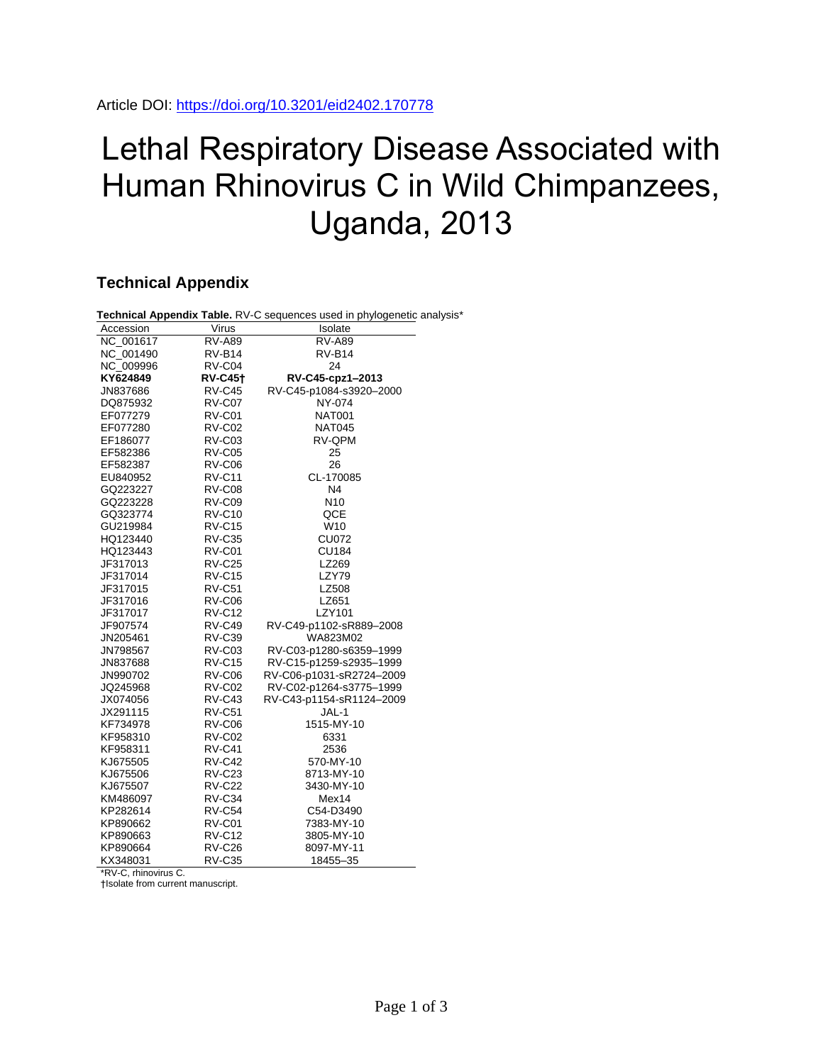## Lethal Respiratory Disease Associated with Human Rhinovirus C in Wild Chimpanzees, Uganda, 2013

## **Technical Appendix**

| Technical Appendix Table. RV-C sequences used in phylogenetic analysis* |                |                          |
|-------------------------------------------------------------------------|----------------|--------------------------|
| Accession                                                               | Virus          | Isolate                  |
| NC 001617                                                               | <b>RV-A89</b>  | <b>RV-A89</b>            |
| NC 001490                                                               | RV-B14         | RV-B14                   |
| NC 009996                                                               | RV-C04         | 24                       |
| KY624849                                                                | <b>RV-C45†</b> | RV-C45-cpz1-2013         |
| JN837686                                                                | RV-C45         | RV-C45-p1084-s3920-2000  |
| DQ875932                                                                | RV-C07         | NY-074                   |
| EF077279                                                                | <b>RV-C01</b>  | <b>NAT001</b>            |
| EF077280                                                                | RV-C02         | <b>NAT045</b>            |
| EF186077                                                                | RV-C03         | RV-QPM                   |
| EF582386                                                                | RV-C05         | 25                       |
| EF582387                                                                | RV-C06         | 26                       |
| EU840952                                                                | <b>RV-C11</b>  | CL-170085                |
| GQ223227                                                                | RV-C08         | N4                       |
| GQ223228                                                                | RV-C09         | N10                      |
| GQ323774                                                                | <b>RV-C10</b>  | QCE                      |
| GU219984                                                                | <b>RV-C15</b>  | W10                      |
| HQ123440                                                                | <b>RV-C35</b>  | <b>CU072</b>             |
| HQ123443                                                                | RV-C01         | <b>CU184</b>             |
| JF317013                                                                | <b>RV-C25</b>  | LZ269                    |
| JF317014                                                                | <b>RV-C15</b>  | LZY79                    |
| JF317015                                                                | <b>RV-C51</b>  | LZ508                    |
| JF317016                                                                | RV-C06         | LZ651                    |
| JF317017                                                                | <b>RV-C12</b>  | LZY101                   |
| JF907574                                                                | <b>RV-C49</b>  | RV-C49-p1102-sR889-2008  |
| JN205461                                                                | <b>RV-C39</b>  | WA823M02                 |
| JN798567                                                                | RV-C03         | RV-C03-p1280-s6359-1999  |
| JN837688                                                                | <b>RV-C15</b>  | RV-C15-p1259-s2935-1999  |
| JN990702                                                                | RV-C06         | RV-C06-p1031-sR2724-2009 |
| JQ245968                                                                | <b>RV-C02</b>  | RV-C02-p1264-s3775-1999  |
| JX074056                                                                | <b>RV-C43</b>  | RV-C43-p1154-sR1124-2009 |
| JX291115                                                                | <b>RV-C51</b>  | JAL-1                    |
| KF734978                                                                | RV-C06         | 1515-MY-10               |
| KF958310                                                                | RV-C02         | 6331                     |
| KF958311                                                                | RV-C41         | 2536                     |
| KJ675505                                                                | <b>RV-C42</b>  | 570-MY-10                |
| KJ675506                                                                | <b>RV-C23</b>  | 8713-MY-10               |
| KJ675507                                                                | <b>RV-C22</b>  | 3430-MY-10               |
| KM486097                                                                | RV-C34         | Mex14                    |
| KP282614                                                                | RV-C54         | C54-D3490                |
| KP890662                                                                | RV-C01         | 7383-MY-10               |
| KP890663                                                                | <b>RV-C12</b>  | 3805-MY-10               |
| KP890664                                                                | RV-C26         | 8097-MY-11               |
| KX348031                                                                | <b>RV-C35</b>  | 18455-35                 |

\*RV-C, rhinovirus C.

†Isolate from current manuscript.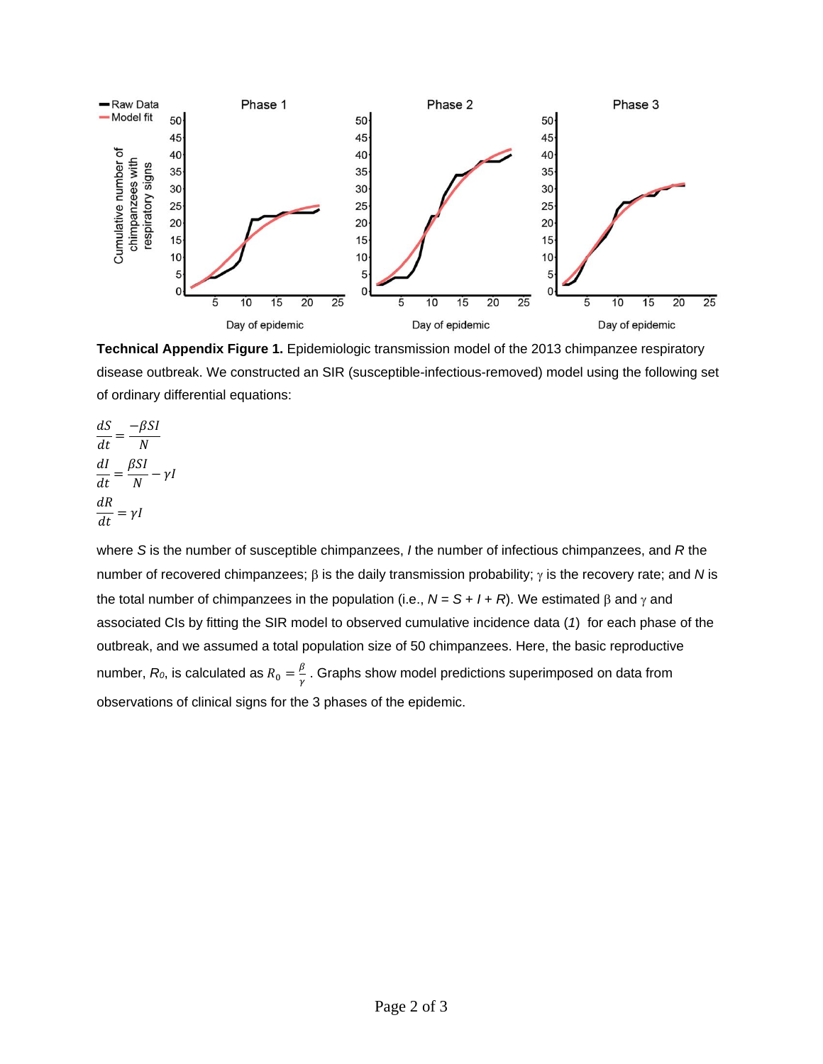

**Technical Appendix Figure 1.** Epidemiologic transmission model of the 2013 chimpanzee respiratory disease outbreak. We constructed an SIR (susceptible-infectious-removed) model using the following set of ordinary differential equations:

$$
\frac{dS}{dt} = \frac{-\beta SI}{N}
$$

$$
\frac{dI}{dt} = \frac{\beta SI}{N} - \gamma I
$$

$$
\frac{dR}{dt} = \gamma I
$$

where *S* is the number of susceptible chimpanzees, *I* the number of infectious chimpanzees, and *R* the number of recovered chimpanzees;  $\beta$  is the daily transmission probability;  $\gamma$  is the recovery rate; and N is the total number of chimpanzees in the population (i.e.,  $N = S + I + R$ ). We estimated  $\beta$  and  $\gamma$  and associated CIs by fitting the SIR model to observed cumulative incidence data (*1*) for each phase of the outbreak, and we assumed a total population size of 50 chimpanzees. Here, the basic reproductive number,  $R_0$ , is calculated as  $R_0 = \frac{\beta}{\gamma}$  $\frac{p}{\gamma}$  . Graphs show model predictions superimposed on data from  $\frac{p}{\gamma}$ observations of clinical signs for the 3 phases of the epidemic.